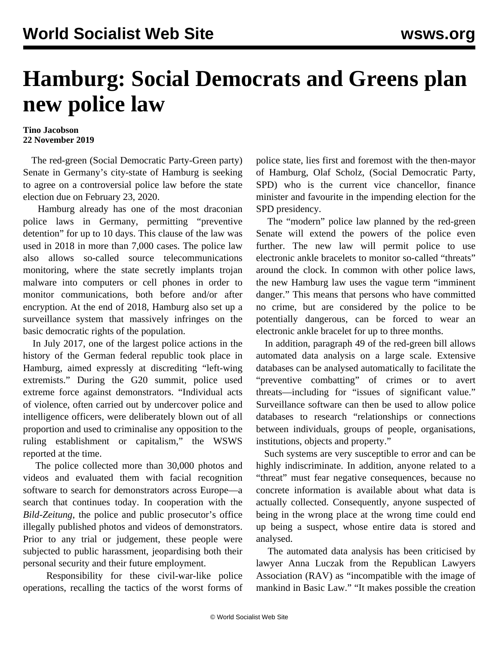## **Hamburg: Social Democrats and Greens plan new police law**

## **Tino Jacobson 22 November 2019**

 The red-green (Social Democratic Party-Green party) Senate in Germany's city-state of Hamburg is seeking to agree on a controversial police law before the state election due on February 23, 2020.

 Hamburg already has one of the most draconian police laws in Germany, permitting "preventive detention" for up to 10 days. This clause of the law was used in 2018 in more than 7,000 cases. The police law also allows so-called source telecommunications monitoring, where the state secretly implants trojan malware into computers or cell phones in order to monitor communications, both before and/or after encryption. At the end of 2018, Hamburg also set up a surveillance system that massively infringes on the basic democratic rights of the population.

 In July 2017, one of the largest police actions in the history of the German federal republic took place in Hamburg, aimed expressly at discrediting "left-wing extremists." During the G20 summit, police used extreme force against demonstrators. "Individual acts of violence, often carried out by undercover police and intelligence officers, were deliberately blown out of all proportion and used to criminalise any opposition to the ruling establishment or capitalism," the WSWS reported at the time.

 The police collected more than 30,000 photos and videos and evaluated them with facial recognition software to search for demonstrators across Europe—a search that continues today. In cooperation with the *Bild-Zeitung*, the police and public prosecutor's office illegally published photos and videos of demonstrators. Prior to any trial or judgement, these people were subjected to public harassment, jeopardising both their personal security and their future employment.

 Responsibility for these civil-war-like police operations, recalling the tactics of the worst forms of police state, lies first and foremost with the then-mayor of Hamburg, Olaf Scholz, (Social Democratic Party, SPD) who is the current vice chancellor, finance minister and favourite in the impending election for the SPD presidency.

 The "modern" police law planned by the red-green Senate will extend the powers of the police even further. The new law will permit police to use electronic ankle bracelets to monitor so-called "threats" around the clock. In common with other police laws, the new Hamburg law uses the vague term "imminent danger." This means that persons who have committed no crime, but are considered by the police to be potentially dangerous, can be forced to wear an electronic ankle bracelet for up to three months.

 In addition, paragraph 49 of the red-green bill allows automated data analysis on a large scale. Extensive databases can be analysed automatically to facilitate the "preventive combatting" of crimes or to avert threats—including for "issues of significant value." Surveillance software can then be used to allow police databases to research "relationships or connections between individuals, groups of people, organisations, institutions, objects and property."

 Such systems are very susceptible to error and can be highly indiscriminate. In addition, anyone related to a "threat" must fear negative consequences, because no concrete information is available about what data is actually collected. Consequently, anyone suspected of being in the wrong place at the wrong time could end up being a suspect, whose entire data is stored and analysed.

 The automated data analysis has been criticised by lawyer Anna Luczak from the Republican Lawyers Association (RAV) as "incompatible with the image of mankind in Basic Law." "It makes possible the creation